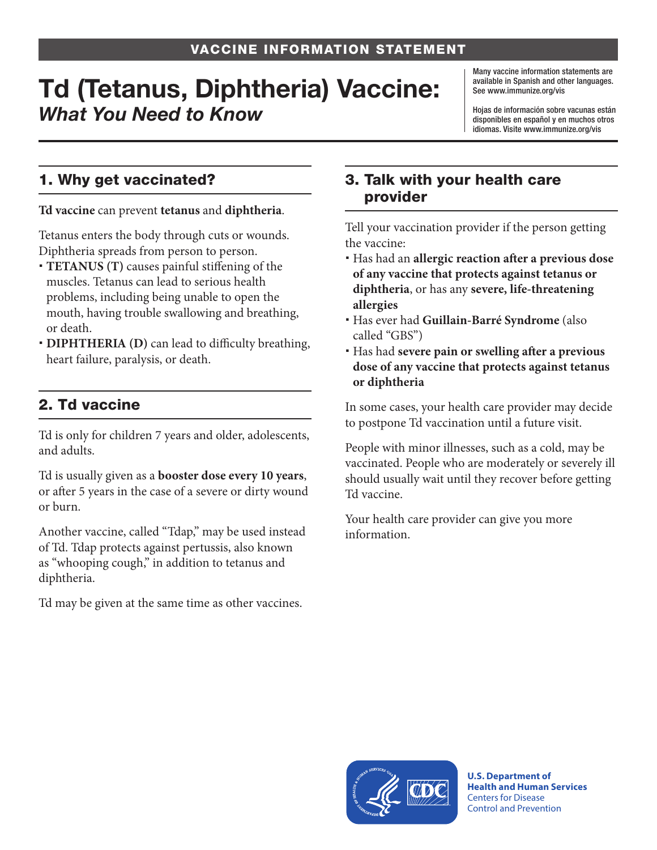# Td (Tetanus, Diphtheria) Vaccine: *What You Need to Know*

Many vaccine information statements are available in Spanish and other languages. See www.immunize.org/vis

Hojas de información sobre vacunas están disponibles en español y en muchos otros idiomas. Visite www.immunize.org/vis

## 1. Why get vaccinated?

**Td vaccine** can prevent **tetanus** and **diphtheria**.

Tetanus enters the body through cuts or wounds. Diphtheria spreads from person to person.

- **TETANUS (T)** causes painful stiffening of the muscles. Tetanus can lead to serious health problems, including being unable to open the mouth, having trouble swallowing and breathing, or death.
- **DIPHTHERIA (D)** can lead to difficulty breathing, heart failure, paralysis, or death.

# 2. Td vaccine

Td is only for children 7 years and older, adolescents, and adults.

Td is usually given as a **booster dose every 10 years**, or after 5 years in the case of a severe or dirty wound or burn.

Another vaccine, called "Tdap," may be used instead of Td. Tdap protects against pertussis, also known as "whooping cough," in addition to tetanus and diphtheria.

Td may be given at the same time as other vaccines.

#### 3. Talk with your health care provider

Tell your vaccination provider if the person getting the vaccine:

- Has had an **allergic reaction after a previous dose of any vaccine that protects against tetanus or diphtheria**, or has any **severe, life-threatening allergies**
- Has ever had **Guillain-Barré Syndrome** (also called "GBS")
- Has had **severe pain or swelling after a previous dose of any vaccine that protects against tetanus or diphtheria**

In some cases, your health care provider may decide to postpone Td vaccination until a future visit.

People with minor illnesses, such as a cold, may be vaccinated. People who are moderately or severely ill should usually wait until they recover before getting Td vaccine.

Your health care provider can give you more information.



**U.S. Department of Health and Human Services**  Centers for Disease Control and Prevention